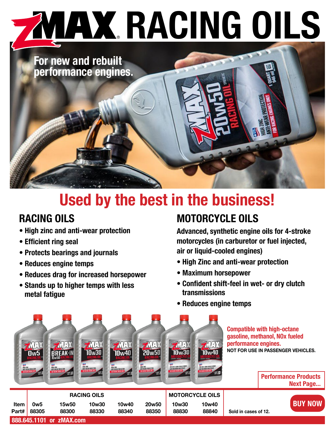# **YIAX RACING OILS**

**For new and rebuilt performance engines.**

# **Used by the best in the business!**

## **RACING OILS**

- **High zinc and anti-wear protection**
- **Efficient ring seal**
- **Protects bearings and journals**
- **Reduces engine temps**
- **Reduces drag for increased horsepower**
- **Stands up to higher temps with less metal fatigue**

## **MOTORCYCLE OILS**

**Advanced, synthetic engine oils for 4-stroke motorcycles (in carburetor or fuel injected, air or liquid-cooled engines)**

- **High Zinc and anti-wear protection**
- **Maximum horsepower**
- **Confident shift-feel in wet- or dry clutch transmissions**
- **Reduces engine temps**